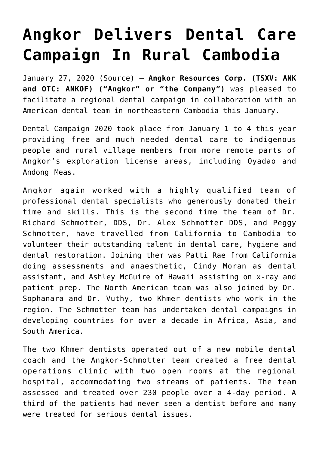## **[Angkor Delivers Dental Care](https://investorintel.com/markets/gold-silver-base-metals/gold-precious-metals-news/angkor-delivers-dental-care-campaign-rural-cambodia/) [Campaign In Rural Cambodia](https://investorintel.com/markets/gold-silver-base-metals/gold-precious-metals-news/angkor-delivers-dental-care-campaign-rural-cambodia/)**

January 27, 2020 [\(Source](http://bit.ly/30TNDZF)) – **Angkor Resources Corp. (TSXV: ANK and OTC: ANKOF) ("Angkor" or "the Company")** was pleased to facilitate a regional dental campaign in collaboration with an American dental team in northeastern Cambodia this January.

Dental Campaign 2020 took place from January 1 to 4 this year providing free and much needed dental care to indigenous people and rural village members from more remote parts of Angkor's exploration license areas, including Oyadao and Andong Meas.

Angkor again worked with a highly qualified team of professional dental specialists who generously donated their time and skills. This is the second time the team of Dr. Richard Schmotter, DDS, Dr. Alex Schmotter DDS, and Peggy Schmotter, have travelled from California to Cambodia to volunteer their outstanding talent in dental care, hygiene and dental restoration. Joining them was Patti Rae from California doing assessments and anaesthetic, Cindy Moran as dental assistant, and Ashley McGuire of Hawaii assisting on x-ray and patient prep. The North American team was also joined by Dr. Sophanara and Dr. Vuthy, two Khmer dentists who work in the region. The Schmotter team has undertaken dental campaigns in developing countries for over a decade in Africa, Asia, and South America.

The two Khmer dentists operated out of a new mobile dental coach and the Angkor-Schmotter team created a free dental operations clinic with two open rooms at the regional hospital, accommodating two streams of patients. The team assessed and treated over 230 people over a 4-day period. A third of the patients had never seen a dentist before and many were treated for serious dental issues.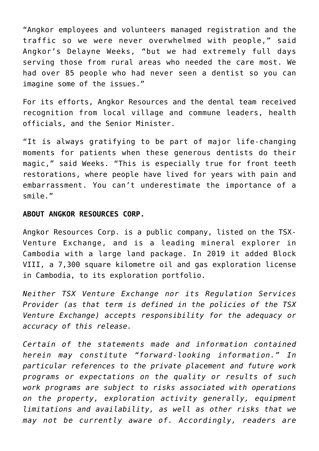"Angkor employees and volunteers managed registration and the traffic so we were never overwhelmed with people," said Angkor's Delayne Weeks, "but we had extremely full days serving those from rural areas who needed the care most. We had over 85 people who had never seen a dentist so you can imagine some of the issues."

For its efforts, Angkor Resources and the dental team received recognition from local village and commune leaders, health officials, and the Senior Minister.

"It is always gratifying to be part of major life-changing moments for patients when these generous dentists do their magic," said Weeks. "This is especially true for front teeth restorations, where people have lived for years with pain and embarrassment. You can't underestimate the importance of a smile."

## **ABOUT ANGKOR RESOURCES CORP.**

Angkor Resources Corp. is a public company, listed on the TSX-Venture Exchange, and is a leading mineral explorer in Cambodia with a large land package. In 2019 it added Block VIII, a 7,300 square kilometre oil and gas exploration license in Cambodia, to its exploration portfolio.

*Neither TSX Venture Exchange nor its Regulation Services Provider (as that term is defined in the policies of the TSX Venture Exchange) accepts responsibility for the adequacy or accuracy of this release.*

*Certain of the statements made and information contained herein may constitute "forward-looking information." In particular references to the private placement and future work programs or expectations on the quality or results of such work programs are subject to risks associated with operations on the property, exploration activity generally, equipment limitations and availability, as well as other risks that we may not be currently aware of. Accordingly, readers are*